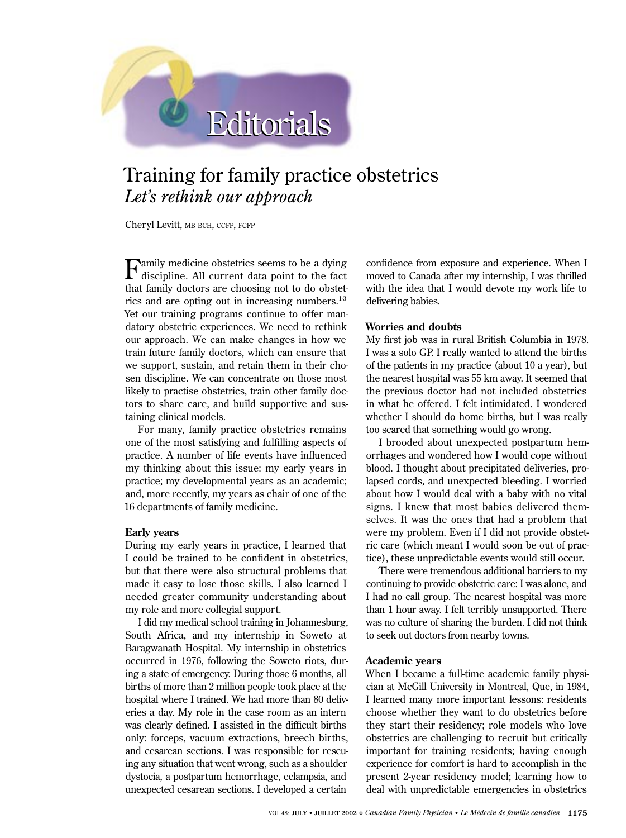# Editorials Editorials

## Training for family practice obstetrics *Let's rethink our approach*

Cheryl Levitt, MB BCH, CCFP, FCFP

Family medicine obstetrics seems to be a dying discipline. All current data point to the fact that family doctors are choosing not to do obstetrics and are opting out in increasing numbers. $1-3$ Yet our training programs continue to offer mandatory obstetric experiences. We need to rethink our approach. We can make changes in how we train future family doctors, which can ensure that we support, sustain, and retain them in their chosen discipline. We can concentrate on those most likely to practise obstetrics, train other family doctors to share care, and build supportive and sustaining clinical models.

For many, family practice obstetrics remains one of the most satisfying and fulfilling aspects of practice. A number of life events have influenced my thinking about this issue: my early years in practice; my developmental years as an academic; and, more recently, my years as chair of one of the 16 departments of family medicine.

#### **Early years**

During my early years in practice, I learned that I could be trained to be confident in obstetrics, but that there were also structural problems that made it easy to lose those skills. I also learned I needed greater community understanding about my role and more collegial support.

I did my medical school training in Johannesburg, South Africa, and my internship in Soweto at Baragwanath Hospital. My internship in obstetrics occurred in 1976, following the Soweto riots, during a state of emergency. During those 6 months, all births of more than 2 million people took place at the hospital where I trained. We had more than 80 deliveries a day. My role in the case room as an intern was clearly defined. I assisted in the difficult births only: forceps, vacuum extractions, breech births, and cesarean sections. I was responsible for rescuing any situation that went wrong, such as a shoulder dystocia, a postpartum hemorrhage, eclampsia, and unexpected cesarean sections. I developed a certain

confidence from exposure and experience. When I moved to Canada after my internship, I was thrilled with the idea that I would devote my work life to delivering babies.

### **Worries and doubts**

My first job was in rural British Columbia in 1978. I was a solo GP. I really wanted to attend the births of the patients in my practice (about 10 a year), but the nearest hospital was 55 km away. It seemed that the previous doctor had not included obstetrics in what he offered. I felt intimidated. I wondered whether I should do home births, but I was really too scared that something would go wrong.

I brooded about unexpected postpartum hemorrhages and wondered how I would cope without blood. I thought about precipitated deliveries, prolapsed cords, and unexpected bleeding. I worried about how I would deal with a baby with no vital signs. I knew that most babies delivered themselves. It was the ones that had a problem that were my problem. Even if I did not provide obstetric care (which meant I would soon be out of practice), these unpredictable events would still occur.

There were tremendous additional barriers to my continuing to provide obstetric care: I was alone, and I had no call group. The nearest hospital was more than 1 hour away. I felt terribly unsupported. There was no culture of sharing the burden. I did not think to seek out doctors from nearby towns.

#### **Academic years**

When I became a full-time academic family physician at McGill University in Montreal, Que, in 1984, I learned many more important lessons: residents choose whether they want to do obstetrics before they start their residency; role models who love obstetrics are challenging to recruit but critically important for training residents; having enough experience for comfort is hard to accomplish in the present 2-year residency model; learning how to deal with unpredictable emergencies in obstetrics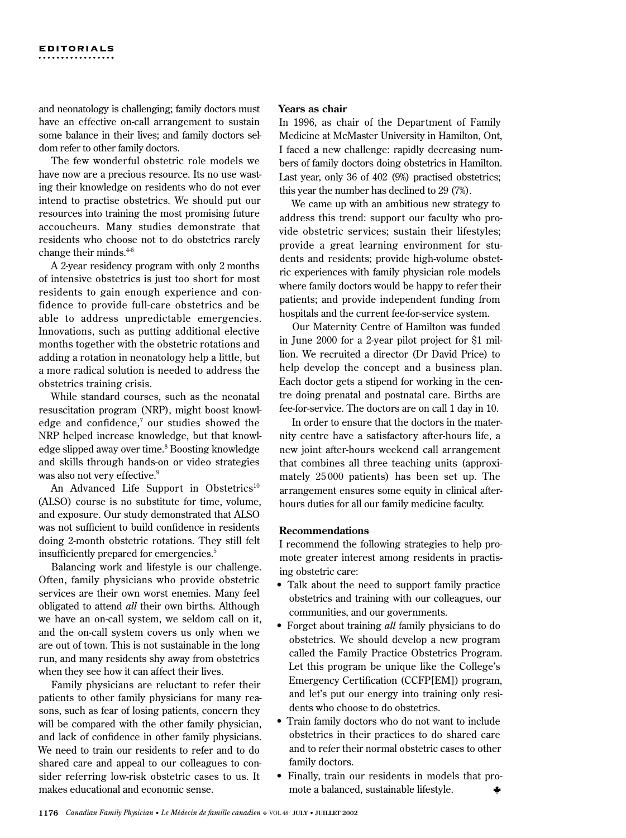and neonatology is challenging; family doctors must have an effective on-call arrangement to sustain some balance in their lives; and family doctors seldom refer to other family doctors.

The few wonderful obstetric role models we have now are a precious resource. Its no use wasting their knowledge on residents who do not ever intend to practise obstetrics. We should put our resources into training the most promising future accoucheurs. Many studies demonstrate that residents who choose not to do obstetrics rarely change their minds.4-6

A 2-year residency program with only 2 months of intensive obstetrics is just too short for most residents to gain enough experience and confidence to provide full-care obstetrics and be able to address unpredictable emergencies. Innovations, such as putting additional elective months together with the obstetric rotations and adding a rotation in neonatology help a little, but a more radical solution is needed to address the obstetrics training crisis.

While standard courses, such as the neonatal resuscitation program (NRP), might boost knowledge and confidence, $\alpha$  our studies showed the NRP helped increase knowledge, but that knowledge slipped away over time.<sup>8</sup> Boosting knowledge and skills through hands-on or video strategies was also not very effective.<sup>9</sup>

An Advanced Life Support in Obstetrics<sup>10</sup> (ALSO) course is no substitute for time, volume, and exposure. Our study demonstrated that ALSO was not sufficient to build confidence in residents doing 2-month obstetric rotations. They still felt insufficiently prepared for emergencies.<sup>5</sup>

Balancing work and lifestyle is our challenge. Often, family physicians who provide obstetric services are their own worst enemies. Many feel obligated to attend *all* their own births. Although we have an on-call system, we seldom call on it, and the on-call system covers us only when we are out of town. This is not sustainable in the long run, and many residents shy away from obstetrics when they see how it can affect their lives.

Family physicians are reluctant to refer their patients to other family physicians for many reasons, such as fear of losing patients, concern they will be compared with the other family physician, and lack of confidence in other family physicians. We need to train our residents to refer and to do shared care and appeal to our colleagues to consider referring low-risk obstetric cases to us. It makes educational and economic sense.

#### **Years as chair**

In 1996, as chair of the Department of Family Medicine at McMaster University in Hamilton, Ont, I faced a new challenge: rapidly decreasing numbers of family doctors doing obstetrics in Hamilton. Last year, only 36 of 402 (9%) practised obstetrics; this year the number has declined to 29 (7%).

We came up with an ambitious new strategy to address this trend: support our faculty who provide obstetric services; sustain their lifestyles; provide a great learning environment for students and residents; provide high-volume obstetric experiences with family physician role models where family doctors would be happy to refer their patients; and provide independent funding from hospitals and the current fee-for-service system.

Our Maternity Centre of Hamilton was funded in June 2000 for a 2-year pilot project for \$1 million. We recruited a director (Dr David Price) to help develop the concept and a business plan. Each doctor gets a stipend for working in the centre doing prenatal and postnatal care. Births are fee-for-service. The doctors are on call 1 day in 10.

In order to ensure that the doctors in the maternity centre have a satisfactory after-hours life, a new joint after-hours weekend call arrangement that combines all three teaching units (approximately 25 000 patients) has been set up. The arrangement ensures some equity in clinical afterhours duties for all our family medicine faculty.

#### **Recommendations**

I recommend the following strategies to help promote greater interest among residents in practising obstetric care:

- Talk about the need to support family practice obstetrics and training with our colleagues, our communities, and our governments.
- Forget about training *all* family physicians to do obstetrics. We should develop a new program called the Family Practice Obstetrics Program. Let this program be unique like the College's Emergency Certification (CCFP[EM]) program, and let's put our energy into training only residents who choose to do obstetrics.
- Train family doctors who do not want to include obstetrics in their practices to do shared care and to refer their normal obstetric cases to other family doctors.
- Finally, train our residents in models that promote a balanced, sustainable lifestyle.